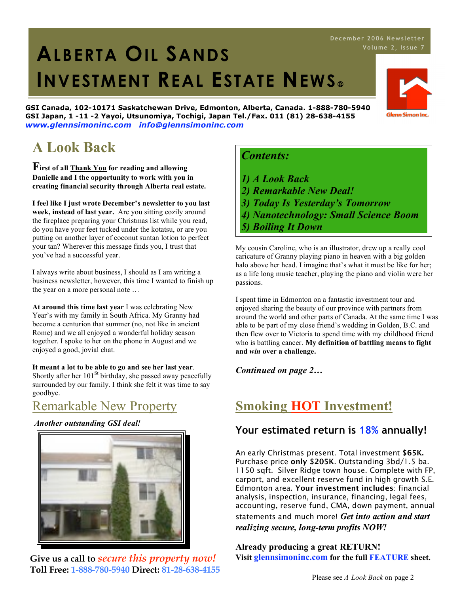#### Please see *A Look Back* on page 2

# 1. **ALBERTA OIL SANDS INVESTMENT REAL ESTATE NEWS**

**GSI Canada, 102-10171 Saskatchewan Drive, Edmonton, Alberta, Canada. 1-888-780-5940 GSI Japan, 1 -11 -2 Yayoi, Utsunomiya, Tochigi, Japan Tel./Fax. 011 (81) 28-638-4155** *www.glennsimoninc.com info@glennsimoninc.com*

## **A Look Back**

**First of all Thank You for reading and allowing Danielle and I the opportunity to work with you in creating financial security through Alberta real estate.**

**I feel like I just wrote December's newsletter to you last week, instead of last year.** Are you sitting cozily around the fireplace preparing your Christmas list while you read, do you have your feet tucked under the kotatsu, or are you putting on another layer of coconut suntan lotion to perfect your tan? Wherever this message finds you, I trust that you've had a successful year.

I always write about business, I should as I am writing a business newsletter, however, this time I wanted to finish up the year on a more personal note …

**At around this time last year** I was celebrating New Year's with my family in South Africa. My Granny had become a centurion that summer (no, not like in ancient Rome) and we all enjoyed a wonderful holiday season together. I spoke to her on the phone in August and we enjoyed a good, jovial chat.

**It meant a lot to be able to go and see her last year**. Shortly after her  $101<sup>St</sup>$  birthday, she passed away peacefully surrounded by our family. I think she felt it was time to say goodbye.

## Remarkable New Property

*Another outstanding GSI deal!*



### *Contents:*

- *1) A Look Back*
- *2) Remarkable New Deal!*
- *3) Today Is Yesterday's Tomorrow*
- *4) Nanotechnology: Small Science Boom*
- *5) Boiling It Down*

My cousin Caroline, who is an illustrator, drew up a really cool caricature of Granny playing piano in heaven with a big golden halo above her head. I imagine that's what it must be like for her; as a life long music teacher, playing the piano and violin were her passions.

I spent time in Edmonton on a fantastic investment tour and enjoyed sharing the beauty of our province with partners from around the world and other parts of Canada. At the same time I was able to be part of my close friend's wedding in Golden, B.C. and then flew over to Victoria to spend time with my childhood friend who is battling cancer. **My definition of battling means to fight and** *win* **over a challenge.**

*Continued on page 2…*

## **Smoking HOT Investment!**

### **Your estimated return is 18% annually!**

An early Christmas present. Total investment \$65K. Purchase price only \$205K. Outstanding 3bd/1.5 ba. 1150 sqft. Silver Ridge town house. Complete with FP, carport, and excellent reserve fund in high growth S.E. Edmonton area. Your investment includes: financial analysis, inspection, insurance, financing, legal fees, accounting, reserve fund, CMA, down payment, annual statements and much more! *Get into action and start realizing secure, long-term profits NOW!*

**Already producing a great RETURN! Visit glennsimoninc.com for the full FEATURE sheet.**

**Glenn Simon Inc** 

**Dece mbe r 2006 News l ett er**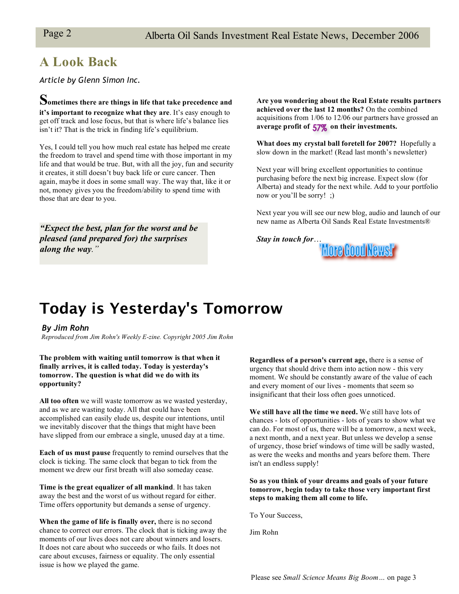### **A Look Back**

*Article by Glenn Simon Inc.*

**Sometimes there are things in life that take precedence and it's important to recognize what they are**. It's easy enough to get off track and lose focus, but that is where life's balance lies isn't it? That is the trick in finding life's equilibrium.

Yes, I could tell you how much real estate has helped me create the freedom to travel and spend time with those important in my life and that would be true. But, with all the joy, fun and security it creates, it still doesn't buy back life or cure cancer. Then again, maybe it does in some small way. The way that, like it or not, money gives you the freedom/ability to spend time with those that are dear to you.

*"Expect the best, plan for the worst and be pleased (and prepared for) the surprises along the way."*

**Are you wondering about the Real Estate results partners achieved over the last 12 months?** On the combined acquisitions from 1/06 to 12/06 our partners have grossed an **average profit of on their investments.**

**What does my crystal ball foretell for 2007?** Hopefully a slow down in the market! (Read last month's newsletter)

Next year will bring excellent opportunities to continue purchasing before the next big increase. Expect slow (for Alberta) and steady for the next while. Add to your portfolio now or you'll be sorry! ;)

Next year you will see our new blog, audio and launch of our new name as Alberta Oil Sands Real Estate Investments®



## Today is Yesterday's Tomorrow

#### *By Jim Rohn*

*Reproduced from Jim Rohn's Weekly E-zine. Copyright 2005 Jim Rohn*

**The problem with waiting until tomorrow is that when it finally arrives, it is called today. Today is yesterday's tomorrow. The question is what did we do with its opportunity?**

**All too often** we will waste tomorrow as we wasted yesterday, and as we are wasting today. All that could have been accomplished can easily elude us, despite our intentions, until we inevitably discover that the things that might have been have slipped from our embrace a single, unused day at a time.

**Each of us must pause** frequently to remind ourselves that the clock is ticking. The same clock that began to tick from the moment we drew our first breath will also someday cease.

**Time is the great equalizer of all mankind**. It has taken away the best and the worst of us without regard for either. Time offers opportunity but demands a sense of urgency.

**When the game of life is finally over,** there is no second chance to correct our errors. The clock that is ticking away the moments of our lives does not care about winners and losers. It does not care about who succeeds or who fails. It does not care about excuses, fairness or equality. The only essential issue is how we played the game.

**Regardless of a person's current age,** there is a sense of urgency that should drive them into action now - this very moment. We should be constantly aware of the value of each and every moment of our lives - moments that seem so insignificant that their loss often goes unnoticed.

**We still have all the time we need.** We still have lots of chances - lots of opportunities - lots of years to show what we can do. For most of us, there will be a tomorrow, a next week, a next month, and a next year. But unless we develop a sense of urgency, those brief windows of time will be sadly wasted, as were the weeks and months and years before them. There isn't an endless supply!

**So as you think of your dreams and goals of your future tomorrow, begin today to take those very important first steps to making them all come to life.**

To Your Success,

Jim Rohn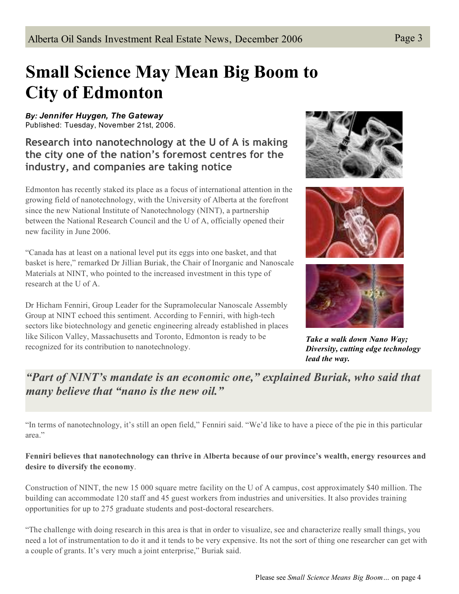## **Small Science May Mean Big Boom to City of Edmonton**

*By: Jennifer Huygen, The Gateway* Published: Tuesday, November 21st, 2006.

#### **Research into nanotechnology at the U of A is making the city one of the nation's foremost centres for the industry, and companies are taking notice**

Edmonton has recently staked its place as a focus of international attention in the growing field of nanotechnology, with the University of Alberta at the forefront since the new National Institute of Nanotechnology (NINT), a partnership between the National Research Council and the U of A, officially opened their new facility in June 2006.

"Canada has at least on a national level put its eggs into one basket, and that basket is here," remarked Dr Jillian Buriak, the Chair of Inorganic and Nanoscale Materials at NINT, who pointed to the increased investment in this type of research at the U of A.

Dr Hicham Fenniri, Group Leader for the Supramolecular Nanoscale Assembly Group at NINT echoed this sentiment. According to Fenniri, with high-tech sectors like biotechnology and genetic engineering already established in places like Silicon Valley, Massachusetts and Toronto, Edmonton is ready to be recognized for its contribution to nanotechnology.







*Take a walk down Nano Way; Diversity, cutting edge technology lead the way.*

*"Part of NINT's mandate is an economic one," explained Buriak, who said that many believe that "nano is the new oil."* 

"In terms of nanotechnology, it's still an open field," Fenniri said. "We'd like to have a piece of the pie in this particular area<sup>"</sup>

#### **Fenniri believes that nanotechnology can thrive in Alberta because of our province's wealth, energy resources and desire to diversify the economy**.

Construction of NINT, the new 15 000 square metre facility on the U of A campus, cost approximately \$40 million. The building can accommodate 120 staff and 45 guest workers from industries and universities. It also provides training opportunities for up to 275 graduate students and post-doctoral researchers.

"The challenge with doing research in this area is that in order to visualize, see and characterize really small things, you need a lot of instrumentation to do it and it tends to be very expensive. Its not the sort of thing one researcher can get with a couple of grants. It's very much a joint enterprise," Buriak said.